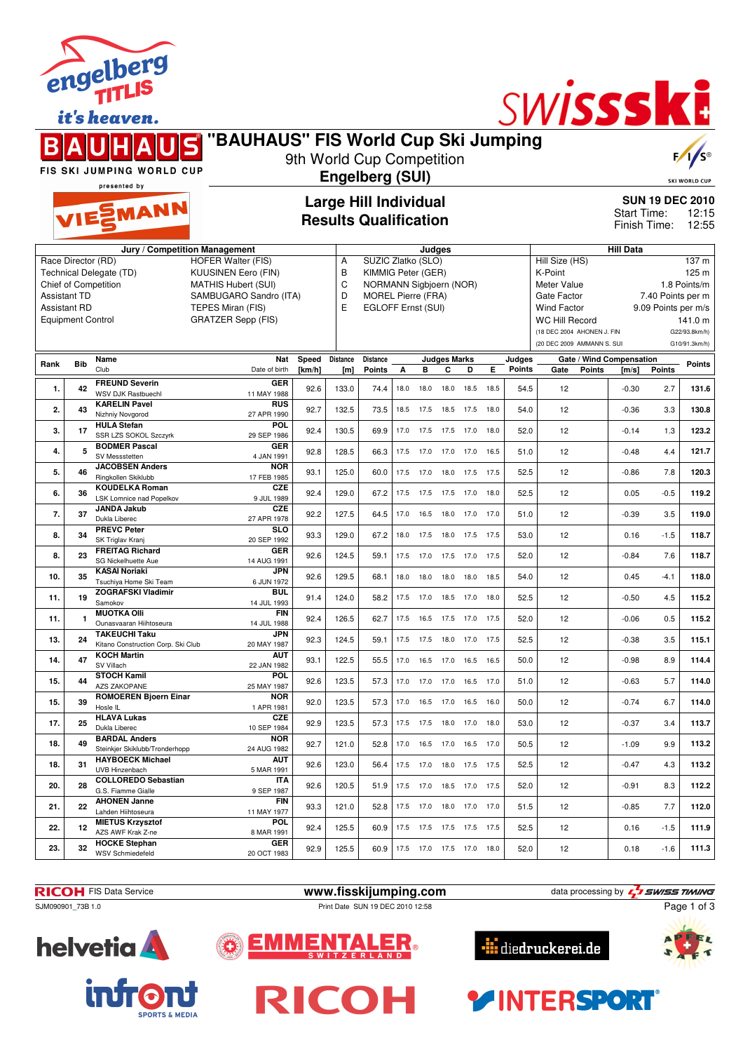|                     |                          | it's heaven.                                                                |                                             |                           |                                                              |                                                 |           |        |                          |                          |      |                         | <b>TECEIN</b>                     |                             |                                   |                                          |                        |
|---------------------|--------------------------|-----------------------------------------------------------------------------|---------------------------------------------|---------------------------|--------------------------------------------------------------|-------------------------------------------------|-----------|--------|--------------------------|--------------------------|------|-------------------------|-----------------------------------|-----------------------------|-----------------------------------|------------------------------------------|------------------------|
|                     |                          |                                                                             | 'BAUHAUS" FIS World Cup Ski Jumping         | 9th World Cup Competition |                                                              |                                                 |           |        |                          |                          |      |                         |                                   |                             |                                   |                                          | $F / \sqrt{S^{\circ}}$ |
|                     |                          | FIS SKI JUMPING WORLD CUP                                                   |                                             |                           |                                                              | <b>Engelberg (SUI)</b>                          |           |        |                          |                          |      |                         |                                   |                             |                                   |                                          |                        |
|                     |                          | presented by                                                                |                                             |                           |                                                              |                                                 |           |        |                          |                          |      |                         |                                   |                             |                                   |                                          | <b>SKI WORLD CUP</b>   |
|                     |                          | VIESMANN                                                                    |                                             |                           | <b>Large Hill Individual</b><br><b>Results Qualification</b> |                                                 |           |        |                          |                          |      |                         |                                   | Start Time:<br>Finish Time: |                                   | <b>SUN 19 DEC 2010</b><br>12:15<br>12:55 |                        |
|                     |                          |                                                                             | Jury / Competition Management               |                           |                                                              |                                                 |           | Judges |                          |                          |      |                         |                                   |                             | <b>Hill Data</b>                  |                                          |                        |
|                     | Race Director (RD)       |                                                                             | HOFER Walter (FIS)                          |                           | A                                                            | SUZIC Zlatko (SLO)                              |           |        |                          |                          |      |                         | Hill Size (HS)                    |                             |                                   |                                          | 137 <sub>m</sub>       |
|                     |                          | Technical Delegate (TD)                                                     | <b>KUUSINEN Eero (FIN)</b>                  |                           | B                                                            | KIMMIG Peter (GER)                              |           |        |                          |                          |      |                         | K-Point                           |                             |                                   |                                          | 125 <sub>m</sub>       |
|                     |                          | Chief of Competition                                                        | <b>MATHIS Hubert (SUI)</b>                  |                           | C                                                            | NORMANN Sigbjoern (NOR)                         |           |        |                          |                          |      |                         | Meter Value                       |                             |                                   |                                          | 1.8 Points/m           |
| <b>Assistant TD</b> | <b>Assistant RD</b>      |                                                                             | SAMBUGARO Sandro (ITA)<br>TEPES Miran (FIS) |                           | D<br>Е                                                       | <b>MOREL Pierre (FRA)</b><br>EGLOFF Ernst (SUI) |           |        |                          |                          |      |                         | Gate Factor<br><b>Wind Factor</b> |                             |                                   | 7.40 Points per m<br>9.09 Points per m/s |                        |
|                     | <b>Equipment Control</b> |                                                                             | <b>GRATZER Sepp (FIS)</b>                   |                           |                                                              |                                                 |           |        |                          |                          |      |                         | <b>WC Hill Record</b>             |                             |                                   |                                          | 141.0 m                |
|                     |                          |                                                                             |                                             |                           |                                                              |                                                 |           |        |                          |                          |      |                         | (18 DEC 2004 AHONEN J. FIN        |                             |                                   |                                          | G22/93.8km/h)          |
|                     |                          |                                                                             |                                             |                           |                                                              |                                                 |           |        |                          |                          |      |                         | (20 DEC 2009 AMMANN S. SUI        |                             |                                   |                                          | G10/91.3km/h)          |
|                     |                          |                                                                             |                                             |                           |                                                              |                                                 |           |        |                          |                          |      |                         |                                   |                             |                                   |                                          |                        |
|                     |                          |                                                                             |                                             |                           |                                                              |                                                 |           |        |                          |                          |      |                         |                                   |                             |                                   |                                          |                        |
| Rank                | <b>Bib</b>               | Name<br>Club                                                                | Nat<br>Date of birth                        | Speed<br>[km/h]           | <b>Distance</b><br>[m]                                       | <b>Distance</b><br><b>Points</b>                | A         | в      | <b>Judges Marks</b><br>C | D                        | E.   | Judges<br><b>Points</b> | Gate                              | Points                      | Gate / Wind Compensation<br>[m/s] | <b>Points</b>                            | <b>Points</b>          |
| 1.                  | 42                       | <b>FREUND Severin</b><br><b>WSV DJK Rastbuechl</b>                          | <b>GER</b><br>11 MAY 1988                   | 92.6                      | 133.0                                                        | 74.4                                            | 18.0      | 18.0   | 18.0                     | 18.5                     | 18.5 | 54.5                    | 12                                |                             | $-0.30$                           | 2.7                                      | 131.6                  |
|                     |                          | <b>KARELIN Pavel</b>                                                        | <b>RUS</b>                                  |                           |                                                              |                                                 |           |        |                          |                          |      |                         |                                   |                             |                                   |                                          |                        |
| 2.                  | 43                       | Nizhniy Novgorod                                                            | 27 APR 1990                                 | 92.7                      | 132.5                                                        | 73.5                                            | 18.5      | 17.5   | 18.5 17.5                |                          | 18.0 | 54.0                    | 12                                |                             | $-0.36$                           | 3.3                                      | 130.8                  |
| 3.                  | 17                       | <b>HULA Stefan</b><br><b>SSR LZS SOKOL Szczvrk</b>                          | POL<br>29 SEP 1986                          | 92.4                      | 130.5                                                        | 69.9                                            | 17.0      | 17.5   | 17.5                     | 17.0                     | 18.0 | 52.0                    | 12                                |                             | $-0.14$                           | 1.3                                      | 123.2                  |
| 4.                  | 5                        | <b>BODMER Pascal</b><br><b>SV Messstetten</b>                               | <b>GER</b><br>4 JAN 1991                    | 92.8                      | 128.5                                                        | 66.3                                            |           |        |                          | 17.5 17.0 17.0 17.0 16.5 |      | 51.0                    | 12                                |                             | $-0.48$                           | 4.4                                      | 121.7                  |
| 5.                  | 46                       | <b>JACOBSEN Anders</b><br>Ringkollen Skiklubb                               | <b>NOR</b><br>17 FEB 1985                   | 93.1                      | 125.0                                                        | 60.0                                            | 17.5      | 17.0   | 18.0 17.5                |                          | 17.5 | 52.5                    | 12                                |                             | $-0.86$                           | 7.8                                      | 120.3                  |
| 6.                  | 36                       | <b>KOUDELKA Roman</b><br><b>LSK Lomnice nad Popelkov</b>                    | <b>CZE</b><br>9 JUL 1989                    | 92.4                      | 129.0                                                        | 67.2                                            | 17.5 17.5 |        |                          | 17.5 17.0 18.0           |      | 52.5                    | 12                                |                             | 0.05                              | $-0.5$                                   | 119.2                  |
| 7.                  | 37                       | <b>JANDA Jakub</b><br>Dukla Liberec                                         | <b>CZE</b><br>27 APR 1978                   | 92.2                      | 127.5                                                        | 64.5                                            | 17.0      | 16.5   | 18.0 17.0                |                          | 17.0 | 51.0                    | 12                                |                             | $-0.39$                           | 3.5                                      | 119.0                  |
| 8.                  | 34                       | <b>PREVC Peter</b><br>SK Triglav Kranj                                      | <b>SLO</b><br>20 SEP 1992                   | 93.3                      | 129.0                                                        | 67.2                                            | 18.0      | 17.5   | 18.0                     | 17.5                     | 17.5 | 53.0                    | 12                                |                             | 0.16                              | $-1.5$                                   | 118.7                  |
| 8.                  | 23                       | <b>FREITAG Richard</b><br>SG Nickelhuette Aue                               | <b>GER</b><br>14 AUG 1991                   | 92.6                      | 124.5                                                        | 59.1                                            | 17.5      | 17.0   | 17.5                     | 17.0                     | 17.5 | 52.0                    | 12                                |                             | $-0.84$                           | 7.6                                      | 118.7                  |
| 10.                 | 35                       | <b>KASAI Noriaki</b><br>Tsuchiya Home Ski Team<br><b>ZOGRAFSKI Vladimir</b> | <b>JPN</b><br>6 JUN 1972<br><b>BUL</b>      | 92.6                      | 129.5                                                        | 68.1                                            | 18.0      | 18.0   | 18.0                     | 18.0                     | 18.5 | 54.0                    | 12                                |                             | 0.45                              | $-4.1$                                   | 118.0                  |





**helvetia** 













engelberg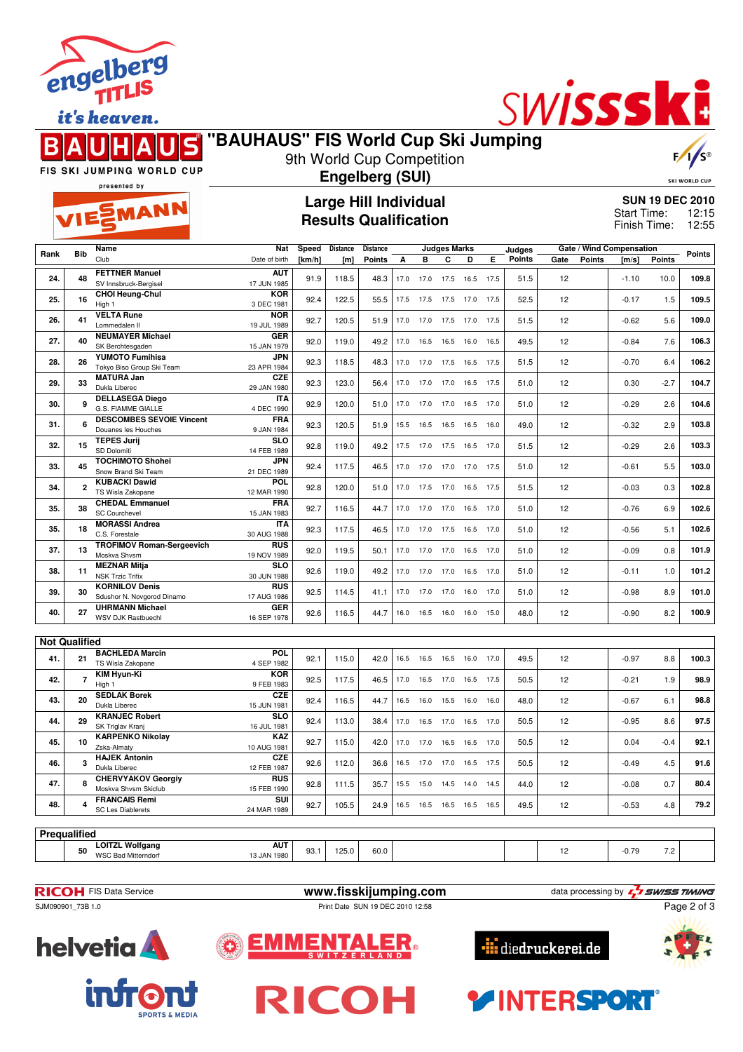

it's heaven.



# **"BAUHAUS" FIS World Cup Ski Jumping**



FIS SKI JUMPING WORLD CUP

#### 9th World Cup Competition **Engelberg (SUI)**

SKI WORLD CUP

presented by

EMANN

## **Large Hill Individual Results Qualification**

**SUN 19 DEC 2010** 12:15 12:55 Start Time: Finish Time:

|                      |                | Name                                              | Nat                       | Speed      | Distance | Distance      |      |           | <b>Judges Marks</b> |      |      | Judges |      |               | Gate / Wind Compensation |               |               |
|----------------------|----------------|---------------------------------------------------|---------------------------|------------|----------|---------------|------|-----------|---------------------|------|------|--------|------|---------------|--------------------------|---------------|---------------|
| Rank                 | <b>Bib</b>     | Club                                              | Date of birth             | [ $km/h$ ] | [m]      | <b>Points</b> | А    | B         | C                   | D    | Е    | Points | Gate | <b>Points</b> | [m/s]                    | <b>Points</b> | <b>Points</b> |
| 24.                  | 48             | <b>FETTNER Manuel</b>                             | <b>AUT</b>                | 91.9       | 118.5    | 48.3          | 17.0 | 17.0      | 17.5 16.5           |      | 17.5 | 51.5   | 12   |               | $-1.10$                  | 10.0          | 109.8         |
|                      |                | SV Innsbruck-Bergisel                             | 17 JUN 1985               |            |          |               |      |           |                     |      |      |        |      |               |                          |               |               |
| 25.                  | 16             | <b>CHOI Heung-Chul</b>                            | <b>KOR</b>                | 92.4       | 122.5    | 55.5          | 17.5 | 17.5      | 17.5                | 17.0 | 17.5 | 52.5   | 12   |               | $-0.17$                  | 1.5           | 109.5         |
|                      |                | High 1                                            | 3 DEC 1981                |            |          |               |      |           |                     |      |      |        |      |               |                          |               |               |
| 26.                  | 41             | <b>VELTA Rune</b>                                 | <b>NOR</b>                | 92.7       | 120.5    | 51.9          |      | 17.0 17.0 | 17.5 17.0           |      | 17.5 | 51.5   | 12   |               | $-0.62$                  | 5.6           | 109.0         |
|                      |                | Lommedalen II                                     | 19 JUL 1989               |            |          |               |      |           |                     |      |      |        |      |               |                          |               |               |
| 27.                  | 40             | <b>NEUMAYER Michael</b>                           | <b>GER</b>                |            | 119.0    |               |      |           |                     |      | 16.5 | 49.5   | 12   |               |                          | 7.6           | 106.3         |
|                      |                | SK Berchtesgaden                                  | 15 JAN 1979               | 92.0       |          | 49.2          | 17.0 | 16.5      | 16.5                | 16.0 |      |        |      |               | $-0.84$                  |               |               |
| 28.                  | 26             | <b>YUMOTO Fumihisa</b>                            | JPN                       | 92.3       |          | 48.3          |      | 17.0      | 17.5                |      | 17.5 | 51.5   | 12   |               | $-0.70$                  | 6.4           | 106.2         |
|                      |                | Tokyo Biso Group Ski Team                         | 23 APR 1984               |            | 118.5    |               | 17.0 |           |                     | 16.5 |      |        |      |               |                          |               |               |
| 29.                  | 33             | <b>MATURA Jan</b>                                 | CZE                       | 92.3       | 123.0    | 56.4          | 17.0 | 17.0      | 17.0                | 16.5 | 17.5 | 51.0   | 12   |               | 0.30                     | $-2.7$        | 104.7         |
|                      |                | Dukla Liberec                                     | 29 JAN 1980               |            |          |               |      |           |                     |      |      |        |      |               |                          |               |               |
| 30.                  | 9              | <b>DELLASEGA Diego</b>                            | <b>ITA</b>                | 92.9       | 120.0    | 51.0          | 17.0 | 17.0      | 17.0                | 16.5 | 17.0 | 51.0   | 12   |               | $-0.29$                  | 2.6           | 104.6         |
|                      |                | G.S. FIAMME GIALLE                                | 4 DEC 1990                |            |          |               |      |           |                     |      |      |        |      |               |                          |               |               |
| 31.                  | 6              | <b>DESCOMBES SEVOIE Vincent</b>                   | FRA                       | 92.3       | 120.5    | 51.9          | 15.5 | 16.5      | 16.5 16.5           |      | 16.0 | 49.0   | 12   |               | $-0.32$                  | 2.9           | 103.8         |
|                      |                | Douanes les Houches                               | 9 JAN 1984                |            |          |               |      |           |                     |      |      |        |      |               |                          |               |               |
| 32.                  | 15             | <b>TEPES Jurij</b>                                | <b>SLO</b>                | 92.8       | 119.0    | 49.2          | 17.5 | 17.0      | 17.5                | 16.5 | 17.0 | 51.5   | 12   |               | $-0.29$                  | 2.6           | 103.3         |
|                      |                | SD Dolomiti                                       | 14 FEB 1989               |            |          |               |      |           |                     |      |      |        |      |               |                          |               |               |
| 33.                  | 45             | <b>TOCHIMOTO Shohei</b>                           | <b>JPN</b>                | 92.4       | 117.5    | 46.5          | 17.0 | 17.0      | 17.0 17.0           |      | 17.5 | 51.0   | 12   |               | $-0.61$                  | 5.5           | 103.0         |
|                      |                | Snow Brand Ski Team                               | 21 DEC 1989               |            |          |               |      |           |                     |      |      |        |      |               |                          |               |               |
| 34.                  | $\overline{2}$ | <b>KUBACKI Dawid</b>                              | <b>POL</b>                | 92.8       | 120.0    | 51.0          | 17.0 | 17.5      | 17.0                | 16.5 | 17.5 | 51.5   | 12   |               | $-0.03$                  | 0.3           | 102.8         |
|                      |                | TS Wisla Zakopane                                 | 12 MAR 1990               |            |          |               |      |           |                     |      |      |        |      |               |                          |               |               |
| 35.                  | 38             | <b>CHEDAL Emmanuel</b>                            | <b>FRA</b>                | 92.7       | 116.5    | 44.7          | 17.0 | 17.0      | 17.0                | 16.5 | 17.0 | 51.0   | 12   |               | $-0.76$                  | 6.9           | 102.6         |
|                      |                | <b>SC Courchevel</b>                              | 15 JAN 1983               |            |          |               |      |           |                     |      |      |        |      |               |                          |               |               |
| 35.                  | 18             | <b>MORASSI Andrea</b>                             | <b>ITA</b>                | 92.3       | 117.5    | 46.5          | 17.0 | 17.0      | 17.5 16.5           |      | 17.0 | 51.0   | 12   |               | $-0.56$                  | 5.1           | 102.6         |
|                      |                | C.S. Forestale                                    | 30 AUG 1988               |            |          |               |      |           |                     |      |      |        |      |               |                          |               |               |
| 37.                  | 13             | <b>TROFIMOV Roman-Sergeevich</b>                  | <b>RUS</b>                | 92.0       | 119.5    | 50.1          | 17.0 | 17.0      | 17.0                | 16.5 | 17.0 | 51.0   | 12   |               | $-0.09$                  | 0.8           | 101.9         |
|                      |                | Moskva Shvsm                                      | 19 NOV 1989               |            |          |               |      |           |                     |      |      |        |      |               |                          |               |               |
| 38.                  | 11             | <b>MEZNAR Mitja</b>                               | <b>SLO</b>                | 92.6       | 119.0    | 49.2          | 17.0 | 17.0      | 17.0 16.5           |      | 17.0 | 51.0   | 12   |               | $-0.11$                  | 1.0           | 101.2         |
|                      |                | <b>NSK Trzic Trifix</b>                           | 30 JUN 1988               |            |          |               |      |           |                     |      |      |        |      |               |                          |               |               |
| 39.                  | 30             | <b>KORNILOV Denis</b>                             | <b>RUS</b>                | 92.5       | 114.5    | 41.1          | 17.0 | 17.0      | 17.0                | 16.0 | 17.0 | 51.0   | 12   |               | $-0.98$                  | 8.9           | 101.0         |
|                      |                | Sdushor N. Novgorod Dinamo                        | 17 AUG 1986               |            |          |               |      |           |                     |      |      |        |      |               |                          |               |               |
| 40.                  | 27             | <b>UHRMANN Michael</b>                            | <b>GER</b>                | 92.6       | 116.5    | 44.7          |      |           | 16.0 16.5 16.0 16.0 |      | 15.0 | 48.0   | 12   |               | $-0.90$                  | 8.2           | 100.9         |
|                      |                | WSV DJK Rastbuechl                                | 16 SEP 1978               |            |          |               |      |           |                     |      |      |        |      |               |                          |               |               |
|                      |                |                                                   |                           |            |          |               |      |           |                     |      |      |        |      |               |                          |               |               |
| <b>Not Qualified</b> |                |                                                   |                           |            |          |               |      |           |                     |      |      |        |      |               |                          |               |               |
| 41.                  | 21             | <b>BACHLEDA Marcin</b>                            | POL                       | 92.1       | 115.0    | 42.0          | 16.5 | 16.5      | 16.5                | 16.0 | 17.0 | 49.5   | 12   |               | $-0.97$                  | 8.8           | 100.3         |
|                      |                | TS Wisla Zakopane                                 | 4 SEP 1982                |            |          |               |      |           |                     |      |      |        |      |               |                          |               |               |
| 42.                  | $\overline{7}$ | <b>KIM Hyun-Ki</b>                                | <b>KOR</b>                | 92.5       | 117.5    | 46.5          | 17.0 | 16.5      | 17.0                | 16.5 | 17.5 | 50.5   | 12   |               | $-0.21$                  | 1.9           | 98.9          |
|                      |                | High 1                                            | 9 FEB 1983                |            |          |               |      |           |                     |      |      |        |      |               |                          |               |               |
| 43.                  | 20             | <b>SEDLAK Borek</b>                               | CZE                       | 92.4       | 116.5    | 44.7          | 16.5 | 16.0      | 15.5 16.0           |      | 16.0 | 48.0   | 12   |               | $-0.67$                  | 6.1           | 98.8          |
|                      |                | Dukla Liberec                                     | 15 JUN 1981               |            |          |               |      |           |                     |      |      |        |      |               |                          |               |               |
| 44.                  | 29             | <b>KRANJEC Robert</b>                             | <b>SLO</b>                | 92.4       | 113.0    | 38.4          | 17.0 | 16.5      | 17.0                | 16.5 | 17.0 | 50.5   | 12   |               | $-0.95$                  | 8.6           | 97.5          |
|                      |                | SK Triglav Kranj                                  | 16 JUL 1981               |            |          |               |      |           |                     |      |      |        |      |               |                          |               |               |
| 45.                  | 10             | <b>KARPENKO Nikolay</b>                           | KAZ                       | 92.7       | 115.0    | 42.0          |      | 17.0 17.0 | 16.5 16.5 17.0      |      |      | 50.5   | 12   |               | 0.04                     | $-0.4$        | 92.1          |
|                      |                | Zska-Almaty                                       | 10 AUG 1981               |            |          |               |      |           |                     |      |      |        |      |               |                          |               |               |
| 46.                  | 3              | <b>HAJEK Antonin</b>                              | CZE                       | 92.6       | 112.0    | 36.6          | 16.5 | 17.0      | 17.0                | 16.5 | 17.5 | 50.5   | 12   |               | $-0.49$                  | 4.5           | 91.6          |
|                      |                | Dukla Liberec                                     | 12 FEB 1987               |            |          |               |      |           |                     |      |      |        |      |               |                          |               |               |
| 47.                  | 8              | <b>CHERVYAKOV Georgiy</b><br>Moskva Shvsm Skiclub | <b>RUS</b><br>15 FEB 1990 | 92.8       | 111.5    | 35.7          | 15.5 | 15.0      | 14.5 14.0           |      | 14.5 | 44.0   | 12   |               | $-0.08$                  | 0.7           | 80.4          |
|                      |                | <b>FRANCAIS Remi</b>                              | SUI                       |            |          |               |      |           |                     |      |      |        |      |               |                          |               |               |
| 48.                  | 4              | <b>SC Les Diablerets</b>                          | 24 MAR 1989               | 92.7       | 105.5    | 24.9          |      |           | 16.5 16.5 16.5 16.5 |      | 16.5 | 49.5   | 12   |               | $-0.53$                  | 4.8           | 79.2          |
|                      |                |                                                   |                           |            |          |               |      |           |                     |      |      |        |      |               |                          |               |               |
| <b>Pregualified</b>  |                |                                                   |                           |            |          |               |      |           |                     |      |      |        |      |               |                          |               |               |
|                      |                |                                                   |                           |            |          |               |      |           |                     |      |      |        |      |               |                          |               |               |
|                      | 50             | <b>LOITZL Wolfgang</b>                            | <b>AUT</b>                | 021        | 1250     | an n          |      |           |                     |      |      |        | 12   |               | 0.70                     | 72            |               |

| . | .                                                                         |                              |            |                  |      |  |  |  |                        |                        |  |  |  |  |
|---|---------------------------------------------------------------------------|------------------------------|------------|------------------|------|--|--|--|------------------------|------------------------|--|--|--|--|
|   | $M = 15$<br><b>OITZI</b><br>50<br><b>WSC</b><br>1 Mitterndori<br>$\cdots$ | <b>AUT</b><br>1980<br>. .IAM | nn.<br>ວບ. | $- - -$<br>، ب ۱ | 60.0 |  |  |  | .<br>$\sim$<br>$-0.75$ | $\overline{z}$<br>ے. ا |  |  |  |  |
|   |                                                                           |                              |            |                  |      |  |  |  |                        |                        |  |  |  |  |

**helvetia** 

**RICOH** FIS Data Service **www.fisskijumping.com** data processing by  $\frac{7}{2}$  **swiss TIMING** 





**SPORTS & MEDIA** 

**infro** 

SJM090901\_73B 1.0 Print Date SUN 19 DEC 2010 12:58

Page 2 of 3